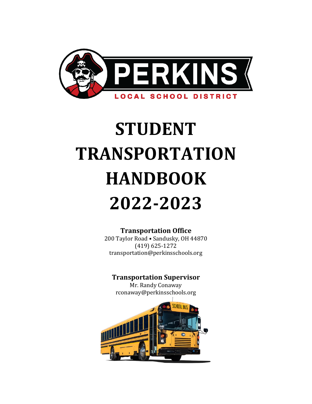

# **STUDENT TRANSPORTATION HANDBOOK 2022-2023**

# **Transportation Office**

200 Taylor Road • Sandusky, OH 44870 (419) 625-1272 [transportation@perkinsschools.org](mailto:transportation@perkinsschools.org)

# **Transportation Supervisor**

Mr. Randy Conaway [rconaway@perkinsschools.org](mailto:rconaway@perkinsschools.org)

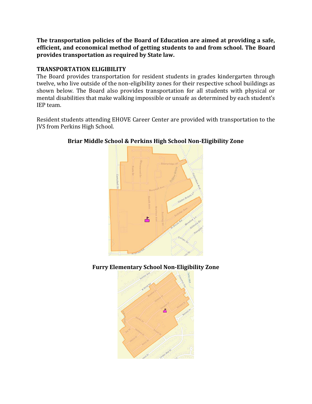**The transportation policies of the Board of Education are aimed at providing a safe, efficient, and economical method of getting students to and from school. The Board provides transportation as required by State law.**

# **TRANSPORTATION ELIGIBILITY**

The Board provides transportation for resident students in grades kindergarten through twelve, who live outside of the non-eligibility zones for their respective school buildings as shown below. The Board also provides transportation for all students with physical or mental disabilities that make walking impossible or unsafe as determined by each student's IEP team.

Resident students attending EHOVE Career Center are provided with transportation to the JVS from Perkins High School.



# **Briar Middle School & Perkins High School Non-Eligibility Zone**

**Furry Elementary School Non-Eligibility Zone**

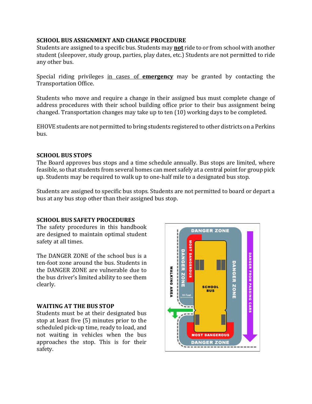## **SCHOOL BUS ASSIGNMENT AND CHANGE PROCEDURE**

Students are assigned to a specific bus. Students may **not** ride to or from school with another student (sleepover, study group, parties, play dates, etc.) Students are not permitted to ride any other bus.

Special riding privileges in cases of **emergency** may be granted by contacting the Transportation Office.

Students who move and require a change in their assigned bus must complete change of address procedures with their school building office prior to their bus assignment being changed. Transportation changes may take up to ten (10) working days to be completed.

EHOVE students are not permitted to bring students registered to other districts on a Perkins bus.

# **SCHOOL BUS STOPS**

The Board approves bus stops and a time schedule annually. Bus stops are limited, where feasible, so that students from several homes can meet safely at a central point for group pick up. Students may be required to walk up to one-half mile to a designated bus stop.

Students are assigned to specific bus stops. Students are not permitted to board or depart a bus at any bus stop other than their assigned bus stop.

### **SCHOOL BUS SAFETY PROCEDURES**

The safety procedures in this handbook are designed to maintain optimal student safety at all times.

The DANGER ZONE of the school bus is a ten-foot zone around the bus. Students in the DANGER ZONE are vulnerable due to the bus driver's limited ability to see them clearly.

### **WAITING AT THE BUS STOP**

Students must be at their designated bus stop at least five (5) minutes prior to the scheduled pick-up time, ready to load, and not waiting in vehicles when the bus approaches the stop. This is for their safety.

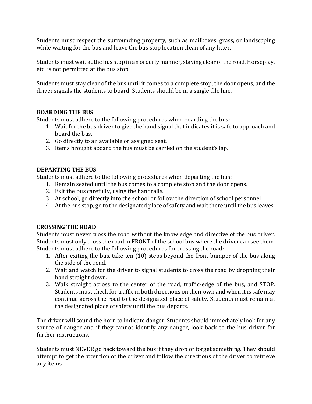Students must respect the surrounding property, such as mailboxes, grass, or landscaping while waiting for the bus and leave the bus stop location clean of any litter.

Students must wait at the bus stop in an orderly manner, staying clear of the road. Horseplay, etc. is not permitted at the bus stop.

Students must stay clear of the bus until it comes to a complete stop, the door opens, and the driver signals the students to board. Students should be in a single-file line.

### **BOARDING THE BUS**

Students must adhere to the following procedures when boarding the bus:

- 1. Wait for the bus driver to give the hand signal that indicates it is safe to approach and board the bus.
- 2. Go directly to an available or assigned seat.
- 3. Items brought aboard the bus must be carried on the student's lap.

# **DEPARTING THE BUS**

Students must adhere to the following procedures when departing the bus:

- 1. Remain seated until the bus comes to a complete stop and the door opens.
- 2. Exit the bus carefully, using the handrails.
- 3. At school, go directly into the school or follow the direction of school personnel.
- 4. At the bus stop, go to the designated place of safety and wait there until the bus leaves.

# **CROSSING THE ROAD**

Students must never cross the road without the knowledge and directive of the bus driver. Students must only cross the road in FRONT of the school bus where the driver can see them. Students must adhere to the following procedures for crossing the road:

- 1. After exiting the bus, take ten (10) steps beyond the front bumper of the bus along the side of the road.
- 2. Wait and watch for the driver to signal students to cross the road by dropping their hand straight down.
- 3. Walk straight across to the center of the road, traffic-edge of the bus, and STOP. Students must check for traffic in both directions on their own and when it is safe may continue across the road to the designated place of safety. Students must remain at the designated place of safety until the bus departs.

The driver will sound the horn to indicate danger. Students should immediately look for any source of danger and if they cannot identify any danger, look back to the bus driver for further instructions.

Students must NEVER go back toward the bus if they drop or forget something. They should attempt to get the attention of the driver and follow the directions of the driver to retrieve any items.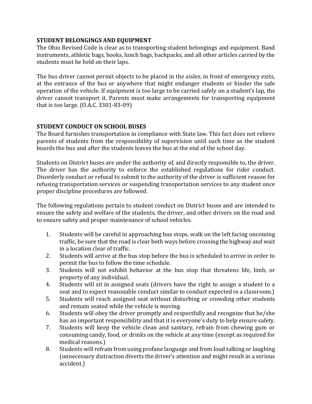## **STUDENT BELONGINGS AND EQUIPMENT**

The Ohio Revised Code is clear as to transporting student belongings and equipment. Band instruments, athletic bags, books, lunch bags, backpacks, and all other articles carried by the students must be held on their laps.

The bus driver cannot permit objects to be placed in the aisles, in front of emergency exits, at the entrance of the bus or anywhere that might endanger students or hinder the safe operation of the vehicle. If equipment is too large to be carried safely on a student's lap, the driver cannot transport it. Parents must make arrangements for transporting equipment that is too large. (O.A.C. 3301-83-09)

# **STUDENT CONDUCT ON SCHOOL BUSES**

The Board furnishes transportation in compliance with State law. This fact does not relieve parents of students from the responsibility of supervision until such time as the student boards the bus and after the students leaves the bus at the end of the school day.

Students on District buses are under the authority of, and directly responsible to, the driver. The driver has the authority to enforce the established regulations for rider conduct. Disorderly conduct or refusal to submit to the authority of the driver is sufficient reason for refusing transportation services or suspending transportation services to any student once proper discipline procedures are followed.

The following regulations pertain to student conduct on District buses and are intended to ensure the safety and welfare of the students, the driver, and other drivers on the road and to ensure safety and proper maintenance of school vehicles.

- 1. Students will be careful in approaching bus stops, walk on the left facing oncoming traffic, be sure that the road is clear both ways before crossing the highway and wait in a location clear of traffic.
- 2. Students will arrive at the bus stop before the bus is scheduled to arrive in order to permit the bus to follow the time schedule.
- 3. Students will not exhibit behavior at the bus stop that threatens life, limb, or property of any individual.
- 4. Students will sit in assigned seats (drivers have the right to assign a student to a seat and to expect reasonable conduct similar to conduct expected in a classroom.)
- 5. Students will reach assigned seat without disturbing or crowding other students and remain seated while the vehicle is moving.
- 6. Students will obey the driver promptly and respectfully and recognize that he/she has an important responsibility and that it is everyone's duty to help ensure safety.
- 7. Students will keep the vehicle clean and sanitary, refrain from chewing gum or consuming candy, food, or drinks on the vehicle at any time (except as required for medical reasons.)
- 8. Students will refrain from using profane language and from loud talking or laughing (unnecessary distraction diverts the driver's attention and might result in a serious accident.)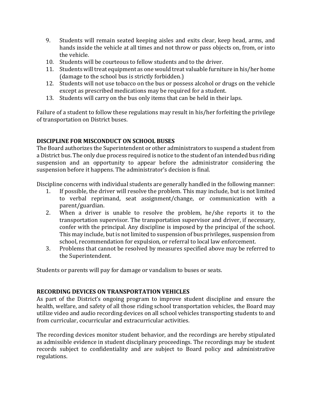- 9. Students will remain seated keeping aisles and exits clear, keep head, arms, and hands inside the vehicle at all times and not throw or pass objects on, from, or into the vehicle.
- 10. Students will be courteous to fellow students and to the driver.
- 11. Students will treat equipment as one would treat valuable furniture in his/her home (damage to the school bus is strictly forbidden.)
- 12. Students will not use tobacco on the bus or possess alcohol or drugs on the vehicle except as prescribed medications may be required for a student.
- 13. Students will carry on the bus only items that can be held in their laps.

Failure of a student to follow these regulations may result in his/her forfeiting the privilege of transportation on District buses.

## **DISCIPLINE FOR MISCONDUCT ON SCHOOL BUSES**

The Board authorizes the Superintendent or other administrators to suspend a student from a District bus. The only due process required is notice to the student of an intended bus riding suspension and an opportunity to appear before the administrator considering the suspension before it happens. The administrator's decision is final.

Discipline concerns with individual students are generally handled in the following manner:

- 1. If possible, the driver will resolve the problem. This may include, but is not limited to verbal reprimand, seat assignment/change, or communication with a parent/guardian.
- 2. When a driver is unable to resolve the problem, he/she reports it to the transportation supervisor. The transportation supervisor and driver, if necessary, confer with the principal. Any discipline is imposed by the principal of the school. This may include, but is not limited to suspension of bus privileges, suspension from school, recommendation for expulsion, or referral to local law enforcement.
- 3. Problems that cannot be resolved by measures specified above may be referred to the Superintendent.

Students or parents will pay for damage or vandalism to buses or seats.

# **RECORDING DEVICES ON TRANSPORTATION VEHICLES**

As part of the District's ongoing program to improve student discipline and ensure the health, welfare, and safety of all those riding school transportation vehicles, the Board may utilize video and audio recording devices on all school vehicles transporting students to and from curricular, cocurricular and extracurricular activities.

The recording devices monitor student behavior, and the recordings are hereby stipulated as admissible evidence in student disciplinary proceedings. The recordings may be student records subject to confidentiality and are subject to Board policy and administrative regulations.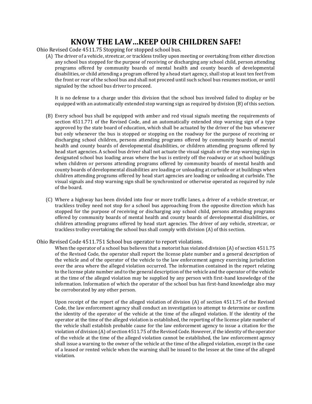# **KNOW THE LAW…KEEP OUR CHILDREN SAFE!**

Ohio Revised Code 4511.75 Stopping for stopped school bus.

(A) The driver of a vehicle, streetcar, or trackless trolley upon meeting or overtaking from either direction any school bus stopped for the purpose of receiving or discharging any school child, person attending programs offered by community boards of mental health and county boards of developmental disabilities, or child attending a program offered by a head start agency, shall stop at least ten feet from the front or rear of the school bus and shall not proceed until such school bus resumes motion, or until signaled by the school bus driver to proceed.

It is no defense to a charge under this division that the school bus involved failed to display or be equipped with an automatically extended stop warning sign as required by division (B) of this section.

- (B) Every school bus shall be equipped with amber and red visual signals meeting the requirements of section 4511.771 of the Revised Code, and an automatically extended stop warning sign of a type approved by the state board of education, which shall be actuated by the driver of the bus whenever but only whenever the bus is stopped or stopping on the roadway for the purpose of receiving or discharging school children, persons attending programs offered by community boards of mental health and county boards of developmental disabilities, or children attending programs offered by head start agencies. A school bus driver shall not actuate the visual signals or the stop warning sign in designated school bus loading areas where the bus is entirely off the roadway or at school buildings when children or persons attending programs offered by community boards of mental health and county boards of developmental disabilities are loading or unloading at curbside or at buildings when children attending programs offered by head start agencies are loading or unloading at curbside. The visual signals and stop warning sign shall be synchronized or otherwise operated as required by rule of the board.
- (C) Where a highway has been divided into four or more traffic lanes, a driver of a vehicle streetcar, or trackless trolley need not stop for a school bus approaching from the opposite direction which has stopped for the purpose of receiving or discharging any school child, persons attending programs offered by community boards of mental health and county boards of developmental disabilities, or children attending programs offered by head start agencies. The driver of any vehicle, streetcar, or trackless trolley overtaking the school bus shall comply with division (A) of this section.

Ohio Revised Code 4511.751 School bus operator to report violations.

When the operator of a school bus believes that a motorist has violated division (A) of section 4511.75 of the Revised Code, the operator shall report the license plate number and a general description of the vehicle and of the operator of the vehicle to the law enforcement agency exercising jurisdiction over the area where the alleged violation occurred. The information contained in the report relating to the license plate number and to the general description of the vehicle and the operator of the vehicle at the time of the alleged violation may be supplied by any person with first-hand knowledge of the information. Information of which the operator of the school bus has first-hand knowledge also may be corroborated by any other person.

Upon receipt of the report of the alleged violation of division (A) of section 4511.75 of the Revised Code, the law enforcement agency shall conduct an investigation to attempt to determine or confirm the identity of the operator of the vehicle at the time of the alleged violation. If the identity of the operator at the time of the alleged violation is established, the reporting of the license plate number of the vehicle shall establish probable cause for the law enforcement agency to issue a citation for the violation of division (A) of section 4511.75 of the Revised Code. However, if the identity of the operator of the vehicle at the time of the alleged violation cannot be established, the law enforcement agency shall issue a warning to the owner of the vehicle at the time of the alleged violation, except in the case of a leased or rented vehicle when the warning shall be issued to the lessee at the time of the alleged violation.